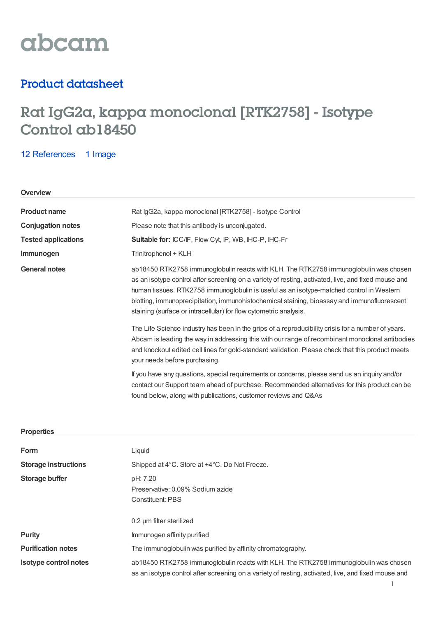

# Product datasheet

# Rat IgG2a, kappa monoclonal [RTK2758] - Isotype Control ab18450

12 [References](https://www.abcam.com/rat-igg2a-kappa-monoclonal-rtk2758-isotype-control-ab18450.html#description_references) 1 Image

# **Overview**

| <b>Product name</b>        | Rat IgG2a, kappa monoclonal [RTK2758] - Isotype Control                                                                                                                                                                                                                                                                                                                                                                                                      |  |
|----------------------------|--------------------------------------------------------------------------------------------------------------------------------------------------------------------------------------------------------------------------------------------------------------------------------------------------------------------------------------------------------------------------------------------------------------------------------------------------------------|--|
| <b>Conjugation notes</b>   | Please note that this antibody is unconjugated.                                                                                                                                                                                                                                                                                                                                                                                                              |  |
| <b>Tested applications</b> | Suitable for: ICC/IF, Flow Cyt, IP, WB, IHC-P, IHC-Fr                                                                                                                                                                                                                                                                                                                                                                                                        |  |
| Immunogen                  | Trinitrophenol + KLH                                                                                                                                                                                                                                                                                                                                                                                                                                         |  |
| <b>General notes</b>       | ab18450 RTK2758 immunoglobulin reacts with KLH. The RTK2758 immunoglobulin was chosen<br>as an isotype control after screening on a variety of resting, activated, live, and fixed mouse and<br>human tissues. RTK2758 immunoglobulin is useful as an isotype-matched control in Western<br>blotting, immunoprecipitation, immunohistochemical staining, bioassay and immunofluorescent<br>staining (surface or intracellular) for flow cytometric analysis. |  |
|                            | The Life Science industry has been in the grips of a reproducibility crisis for a number of years.<br>Abcam is leading the way in addressing this with our range of recombinant monoclonal antibodies<br>and knockout edited cell lines for gold-standard validation. Please check that this product meets<br>your needs before purchasing.                                                                                                                  |  |
|                            | If you have any questions, special requirements or concerns, please send us an inquiry and/or<br>contact our Support team ahead of purchase. Recommended alternatives for this product can be<br>found below, along with publications, customer reviews and Q&As                                                                                                                                                                                             |  |
|                            |                                                                                                                                                                                                                                                                                                                                                                                                                                                              |  |

## **Properties**

| Form                         | Liquid                                                                                                                                                                                       |  |
|------------------------------|----------------------------------------------------------------------------------------------------------------------------------------------------------------------------------------------|--|
| <b>Storage instructions</b>  | Shipped at 4°C. Store at +4°C. Do Not Freeze.                                                                                                                                                |  |
| <b>Storage buffer</b>        | pH: 7.20<br>Preservative: 0.09% Sodium azide<br><b>Constituent: PBS</b>                                                                                                                      |  |
|                              | 0.2 um filter sterilized                                                                                                                                                                     |  |
| Purity                       | Immunogen affinity purified                                                                                                                                                                  |  |
| <b>Purification notes</b>    | The immunoglobulin was purified by affinity chromatography.                                                                                                                                  |  |
| <b>Isotype control notes</b> | ab18450 RTK2758 immunoglobulin reacts with KLH. The RTK2758 immunoglobulin was chosen<br>as an isotype control after screening on a variety of resting, activated, live, and fixed mouse and |  |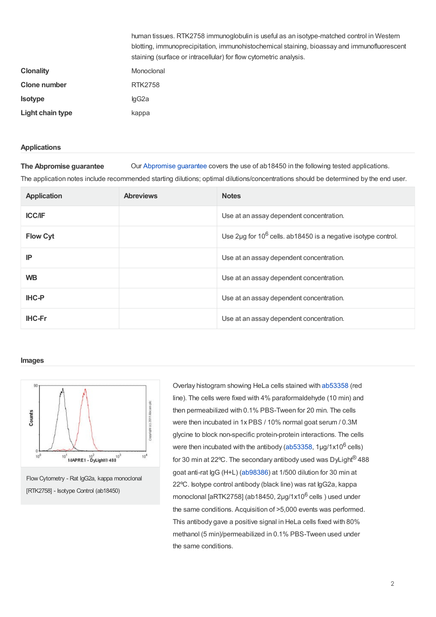|                  | human tissues. RTK2758 immunoglobulin is useful as an isotype-matched control in Western    |  |
|------------------|---------------------------------------------------------------------------------------------|--|
|                  | blotting, immunoprecipitation, immunohistochemical staining, bioassay and immunofluorescent |  |
|                  | staining (surface or intracellular) for flow cytometric analysis.                           |  |
| <b>Clonality</b> | Monoclonal                                                                                  |  |
| Clone number     | <b>RTK2758</b>                                                                              |  |
| <b>Isotype</b>   | lgG2a                                                                                       |  |
| Light chain type | kappa                                                                                       |  |

#### **Applications**

**The Abpromise guarantee** Our [Abpromise](https://www.abcam.com/abpromise) guarantee covers the use of ab18450 in the following tested applications.

The application notes include recommended starting dilutions; optimal dilutions/concentrations should be determined by the end user.

| <b>Application</b> | <b>Abreviews</b> | <b>Notes</b>                                                      |
|--------------------|------------------|-------------------------------------------------------------------|
| <b>ICC/IF</b>      |                  | Use at an assay dependent concentration.                          |
| <b>Flow Cyt</b>    |                  | Use 2µg for $10^6$ cells. ab 18450 is a negative isotype control. |
| IP                 |                  | Use at an assay dependent concentration.                          |
| <b>WB</b>          |                  | Use at an assay dependent concentration.                          |
| <b>IHC-P</b>       |                  | Use at an assay dependent concentration.                          |
| <b>IHC-Fr</b>      |                  | Use at an assay dependent concentration.                          |

#### **Images**



Flow Cytometry - Rat IgG2a, kappa monoclonal [RTK2758] - Isotype Control (ab18450)

Overlay histogram showing HeLa cells stained with [ab53358](https://www.abcam.com/ab53358.html) (red line). The cells were fixed with 4% paraformaldehyde (10 min) and then permeabilized with 0.1% PBS-Tween for 20 min. The cells were then incubated in 1x PBS / 10% normal goat serum / 0.3M glycine to block non-specific protein-protein interactions. The cells were then incubated with the antibody ([ab53358](https://www.abcam.com/ab53358.html), 1µg/1x10<sup>6</sup> cells) for 30 min at 22°C. The secondary antibody used was DyLight $^{\circledR}$ 488 goat anti-rat IgG (H+L) [\(ab98386](https://www.abcam.com/ab98386.html)) at 1/500 dilution for 30 min at 22ºC. Isotype control antibody (black line) was rat IgG2a, kappa monoclonal [aRTK2758] (ab18450, 2 $\mu$ g/1x10 $^6$  cells ) used under the same conditions. Acquisition of >5,000 events was performed. This antibody gave a positive signal in HeLa cells fixed with 80% methanol (5 min)/permeabilized in 0.1% PBS-Tween used under the same conditions.